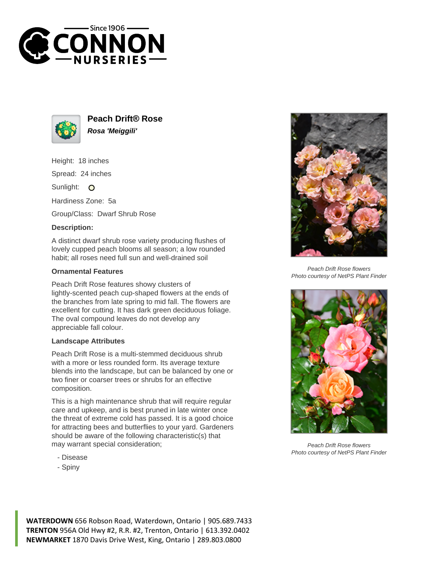



**Peach Drift® Rose Rosa 'Meiggili'**

Height: 18 inches

Spread: 24 inches

Sunlight: O

Hardiness Zone: 5a

Group/Class: Dwarf Shrub Rose

## **Description:**

A distinct dwarf shrub rose variety producing flushes of lovely cupped peach blooms all season; a low rounded habit; all roses need full sun and well-drained soil

## **Ornamental Features**

Peach Drift Rose features showy clusters of lightly-scented peach cup-shaped flowers at the ends of the branches from late spring to mid fall. The flowers are excellent for cutting. It has dark green deciduous foliage. The oval compound leaves do not develop any appreciable fall colour.

## **Landscape Attributes**

Peach Drift Rose is a multi-stemmed deciduous shrub with a more or less rounded form. Its average texture blends into the landscape, but can be balanced by one or two finer or coarser trees or shrubs for an effective composition.

This is a high maintenance shrub that will require regular care and upkeep, and is best pruned in late winter once the threat of extreme cold has passed. It is a good choice for attracting bees and butterflies to your yard. Gardeners should be aware of the following characteristic(s) that may warrant special consideration;

- Disease
- Spiny



Peach Drift Rose flowers Photo courtesy of NetPS Plant Finder



Peach Drift Rose flowers Photo courtesy of NetPS Plant Finder

**WATERDOWN** 656 Robson Road, Waterdown, Ontario | 905.689.7433 **TRENTON** 956A Old Hwy #2, R.R. #2, Trenton, Ontario | 613.392.0402 **NEWMARKET** 1870 Davis Drive West, King, Ontario | 289.803.0800